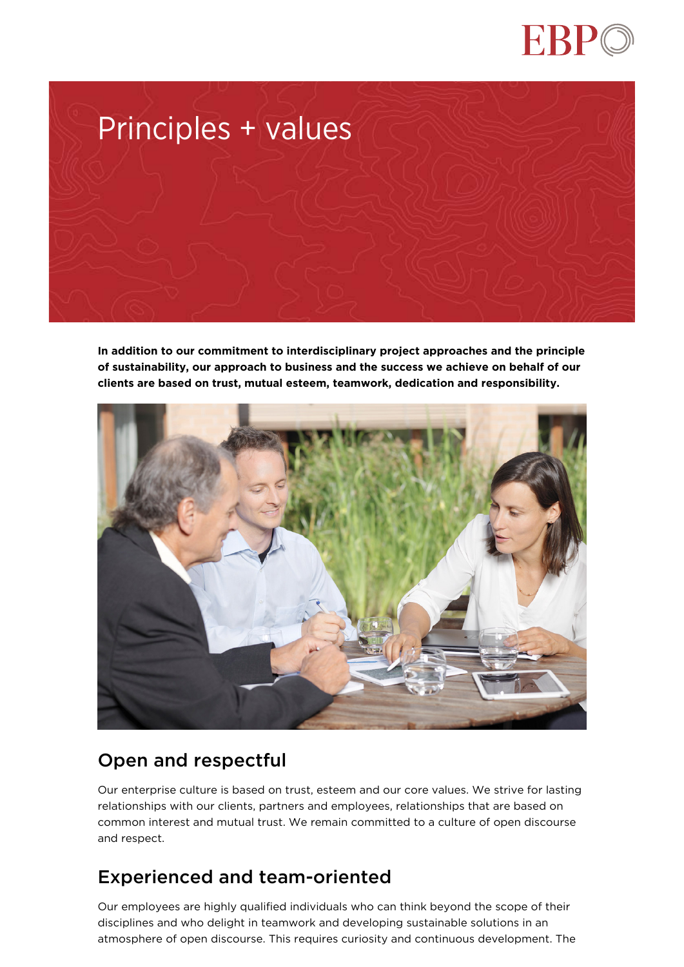



**In addition to our commitment to interdisciplinary project approaches and the principle of sustainability, our approach to business and the success we achieve on behalf of our clients are based on trust, mutual esteem, teamwork, dedication and responsibility.**



# Open and respectful

Our enterprise culture is based on trust, esteem and our core values. We strive for lasting relationships with our clients, partners and employees, relationships that are based on common interest and mutual trust. We remain committed to a culture of open discourse and respect.

### Experienced and team-oriented

Our employees are highly qualified individuals who can think beyond the scope of their disciplines and who delight in teamwork and developing sustainable solutions in an atmosphere of open discourse. This requires curiosity and continuous development. The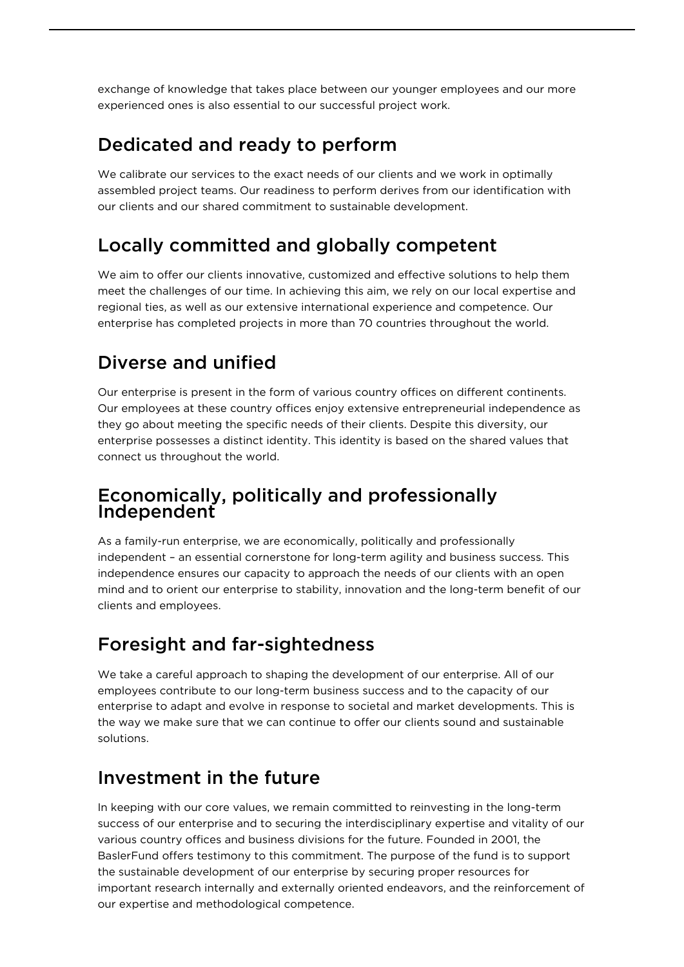exchange of knowledge that takes place between our younger employees and our more experienced ones is also essential to our successful project work.

### Dedicated and ready to perform

We calibrate our services to the exact needs of our clients and we work in optimally assembled project teams. Our readiness to perform derives from our identification with our clients and our shared commitment to sustainable development.

# Locally committed and globally competent

We aim to offer our clients innovative, customized and effective solutions to help them meet the challenges of our time. In achieving this aim, we rely on our local expertise and regional ties, as well as our extensive international experience and competence. Our enterprise has completed projects in more than 70 countries throughout the world.

# Diverse and unified

Our enterprise is present in the form of various country offices on different continents. Our employees at these country offices enjoy extensive entrepreneurial independence as they go about meeting the specific needs of their clients. Despite this diversity, our enterprise possesses a distinct identity. This identity is based on the shared values that connect us throughout the world.

#### Economically, politically and professionally Independent

As a family-run enterprise, we are economically, politically and professionally independent – an essential cornerstone for long-term agility and business success. This independence ensures our capacity to approach the needs of our clients with an open mind and to orient our enterprise to stability, innovation and the long-term benefit of our clients and employees.

# Foresight and far-sightedness

We take a careful approach to shaping the development of our enterprise. All of our employees contribute to our long-term business success and to the capacity of our enterprise to adapt and evolve in response to societal and market developments. This is the way we make sure that we can continue to offer our clients sound and sustainable solutions.

### Investment in the future

In keeping with our core values, we remain committed to reinvesting in the long-term success of our enterprise and to securing the interdisciplinary expertise and vitality of our various country offices and business divisions for the future. Founded in 2001, the BaslerFund offers testimony to this commitment. The purpose of the fund is to support the sustainable development of our enterprise by securing proper resources for important research internally and externally oriented endeavors, and the reinforcement of our expertise and methodological competence.